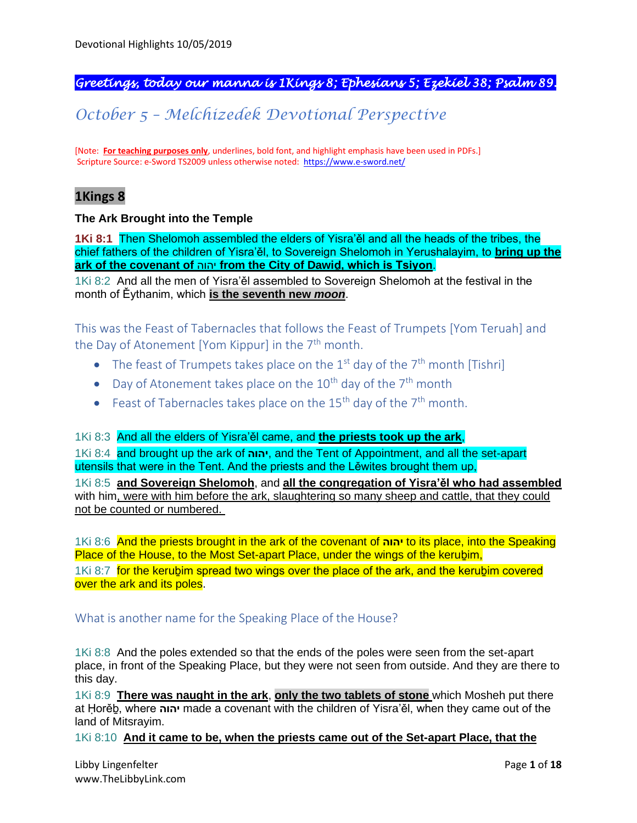# *Greetings, today our manna is 1Kings 8; Ephesians 5; Ezekiel 38; Psalm 89.*

# *October 5 – Melchizedek Devotional Perspective*

[Note: **For teaching purposes only**, underlines, bold font, and highlight emphasis have been used in PDFs.] Scripture Source: e-Sword TS2009 unless otherwise noted: <https://www.e-sword.net/>

# **1Kings 8**

# **The Ark Brought into the Temple**

**1Ki 8:1** Then Shelomoh assembled the elders of Yisra'ěl and all the heads of the tribes, the chief fathers of the children of Yisra'ěl, to Sovereign Shelomoh in Yerushalayim, to **bring up the ark of the covenant of** יהוה **from the City of Dawiḏ, which is Tsiyon**.

1Ki 8:2 And all the men of Yisra'ěl assembled to Sovereign Shelomoh at the festival in the month of Ěythanim, which **is the seventh new** *moon*.

This was the Feast of Tabernacles that follows the Feast of Trumpets [Yom Teruah] and the Day of Atonement [Yom Kippur] in the  $7<sup>th</sup>$  month.

- The feast of Trumpets takes place on the  $1<sup>st</sup>$  day of the  $7<sup>th</sup>$  month [Tishri]
- Day of Atonement takes place on the  $10^{th}$  day of the  $7^{th}$  month
- Feast of Tabernacles takes place on the 15<sup>th</sup> day of the  $7<sup>th</sup>$  month.

#### 1Ki 8:3 And all the elders of Yisra'ěl came, and **the priests took up the ark**,

1Ki 8:4 and brought up the ark of **יהוה**, and the Tent of Appointment, and all the set-apart utensils that were in the Tent. And the priests and the Lěwites brought them up,

1Ki 8:5 **and Sovereign Shelomoh**, and **all the congregation of Yisra'ěl who had assembled** with him, were with him before the ark, slaughtering so many sheep and cattle, that they could not be counted or numbered.

1Ki 8:6 And the priests brought in the ark of the covenant of **יהוה** to its place, into the Speaking Place of the House, to the Most Set-apart Place, under the wings of the kerubim,

1Ki 8:7 for the kerubim spread two wings over the place of the ark, and the kerubim covered over the ark and its poles.

# What is another name for the Speaking Place of the House?

1Ki 8:8 And the poles extended so that the ends of the poles were seen from the set-apart place, in front of the Speaking Place, but they were not seen from outside. And they are there to this day.

1Ki 8:9 **There was naught in the ark**, **only the two tablets of stone** which Mosheh put there at Ḥorěḇ, where **יהוה** made a covenant with the children of Yisra'ěl, when they came out of the land of Mitsrayim.

1Ki 8:10 **And it came to be, when the priests came out of the Set-apart Place, that the**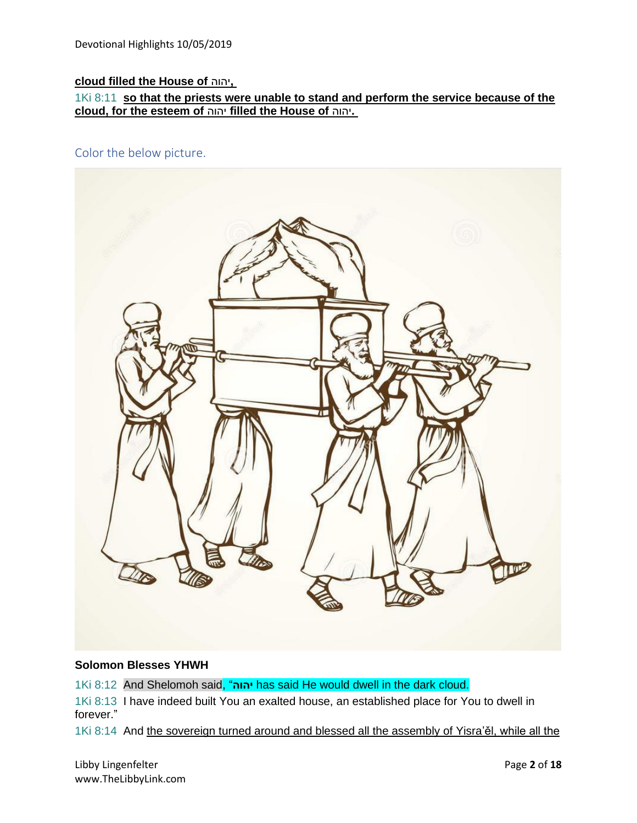# **cloud filled the House of** יהוה**,**

1Ki 8:11 **so that the priests were unable to stand and perform the service because of the cloud, for the esteem of** יהוה **filled the House of** יהוה**.**

Color the below picture.



# **Solomon Blesses YHWH**

1Ki 8:12 And Shelomoh said, "**יהוה** has said He would dwell in the dark cloud.

1Ki 8:13 I have indeed built You an exalted house, an established place for You to dwell in forever."

1Ki 8:14 And the sovereign turned around and blessed all the assembly of Yisra'ěl, while all the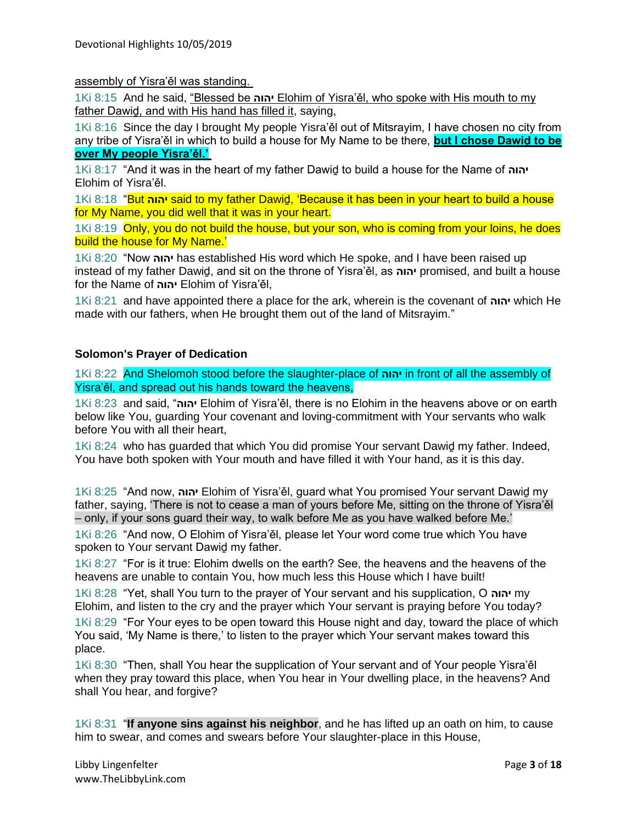assembly of Yisra'ěl was standing.

1Ki 8:15 And he said, "Blessed be **יהוה** Elohim of Yisra'ěl, who spoke with His mouth to my father Dawiḏ, and with His hand has filled it, saying,

1Ki 8:16 Since the day I brought My people Yisra'ěl out of Mitsrayim, I have chosen no city from any tribe of Yisra'ěl in which to build a house for My Name to be there, **but I chose Dawiḏ to be over My people Yisra'ěl.'**

1Ki 8:17 "And it was in the heart of my father Dawiḏ to build a house for the Name of **יהוה** Elohim of Yisra'ěl.

1Ki 8:18 "But **יהוה** said to my father Dawiḏ, 'Because it has been in your heart to build a house for My Name, you did well that it was in your heart.

1Ki 8:19 Only, you do not build the house, but your son, who is coming from your loins, he does build the house for My Name.'

1Ki 8:20 "Now **יהוה** has established His word which He spoke, and I have been raised up instead of my father Dawiḏ, and sit on the throne of Yisra'ěl, as **יהוה** promised, and built a house for the Name of **יהוה** Elohim of Yisra'ěl,

1Ki 8:21 and have appointed there a place for the ark, wherein is the covenant of **יהוה** which He made with our fathers, when He brought them out of the land of Mitsrayim."

# **Solomon's Prayer of Dedication**

1Ki 8:22 And Shelomoh stood before the slaughter-place of **יהוה** in front of all the assembly of Yisra'ěl, and spread out his hands toward the heavens,

1Ki 8:23 and said, "**יהוה** Elohim of Yisra'ěl, there is no Elohim in the heavens above or on earth below like You, guarding Your covenant and loving-commitment with Your servants who walk before You with all their heart,

1Ki 8:24 who has guarded that which You did promise Your servant Dawiḏ my father. Indeed, You have both spoken with Your mouth and have filled it with Your hand, as it is this day.

1Ki 8:25 "And now, **יהוה** Elohim of Yisra'ěl, guard what You promised Your servant Dawiḏ my father, saying, 'There is not to cease a man of yours before Me, sitting on the throne of Yisra'ěl – only, if your sons guard their way, to walk before Me as you have walked before Me.'

1Ki 8:26 "And now, O Elohim of Yisra'ěl, please let Your word come true which You have spoken to Your servant Dawiḏ my father.

1Ki 8:27 "For is it true: Elohim dwells on the earth? See, the heavens and the heavens of the heavens are unable to contain You, how much less this House which I have built!

1Ki 8:28 "Yet, shall You turn to the prayer of Your servant and his supplication, O **יהוה** my Elohim, and listen to the cry and the prayer which Your servant is praying before You today?

1Ki 8:29 "For Your eyes to be open toward this House night and day, toward the place of which You said, 'My Name is there,' to listen to the prayer which Your servant makes toward this place.

1Ki 8:30 "Then, shall You hear the supplication of Your servant and of Your people Yisra'ěl when they pray toward this place, when You hear in Your dwelling place, in the heavens? And shall You hear, and forgive?

1Ki 8:31 "**If anyone sins against his neighbor**, and he has lifted up an oath on him, to cause him to swear, and comes and swears before Your slaughter-place in this House,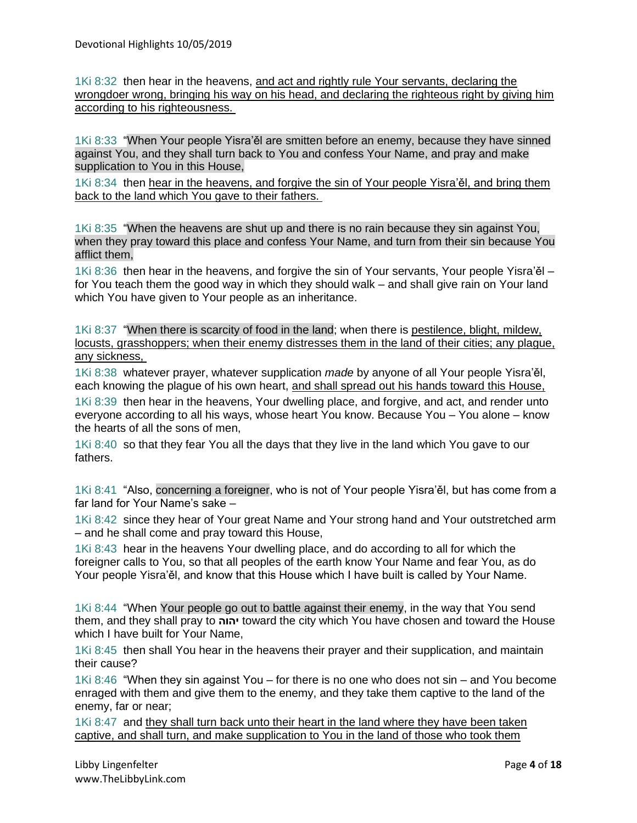1Ki 8:32 then hear in the heavens, and act and rightly rule Your servants, declaring the wrongdoer wrong, bringing his way on his head, and declaring the righteous right by giving him according to his righteousness.

1Ki 8:33 "When Your people Yisra'ěl are smitten before an enemy, because they have sinned against You, and they shall turn back to You and confess Your Name, and pray and make supplication to You in this House,

1Ki 8:34 then hear in the heavens, and forgive the sin of Your people Yisra'ěl, and bring them back to the land which You gave to their fathers.

1Ki 8:35 "When the heavens are shut up and there is no rain because they sin against You, when they pray toward this place and confess Your Name, and turn from their sin because You afflict them,

1Ki 8:36 then hear in the heavens, and forgive the sin of Your servants, Your people Yisra'ěl – for You teach them the good way in which they should walk – and shall give rain on Your land which You have given to Your people as an inheritance.

1Ki 8:37 "When there is scarcity of food in the land; when there is pestilence, blight, mildew, locusts, grasshoppers; when their enemy distresses them in the land of their cities; any plague, any sickness,

1Ki 8:38 whatever prayer, whatever supplication *made* by anyone of all Your people Yisra'ěl, each knowing the plague of his own heart, and shall spread out his hands toward this House,

1Ki 8:39 then hear in the heavens, Your dwelling place, and forgive, and act, and render unto everyone according to all his ways, whose heart You know. Because You – You alone – know the hearts of all the sons of men,

1Ki 8:40 so that they fear You all the days that they live in the land which You gave to our fathers.

1Ki 8:41 "Also, concerning a foreigner, who is not of Your people Yisra'ěl, but has come from a far land for Your Name's sake –

1Ki 8:42 since they hear of Your great Name and Your strong hand and Your outstretched arm – and he shall come and pray toward this House,

1Ki 8:43 hear in the heavens Your dwelling place, and do according to all for which the foreigner calls to You, so that all peoples of the earth know Your Name and fear You, as do Your people Yisra'ěl, and know that this House which I have built is called by Your Name.

1Ki 8:44 "When Your people go out to battle against their enemy, in the way that You send them, and they shall pray to **יהוה** toward the city which You have chosen and toward the House which I have built for Your Name,

1Ki 8:45 then shall You hear in the heavens their prayer and their supplication, and maintain their cause?

1Ki 8:46 "When they sin against You – for there is no one who does not sin – and You become enraged with them and give them to the enemy, and they take them captive to the land of the enemy, far or near;

1Ki 8:47 and they shall turn back unto their heart in the land where they have been taken captive, and shall turn, and make supplication to You in the land of those who took them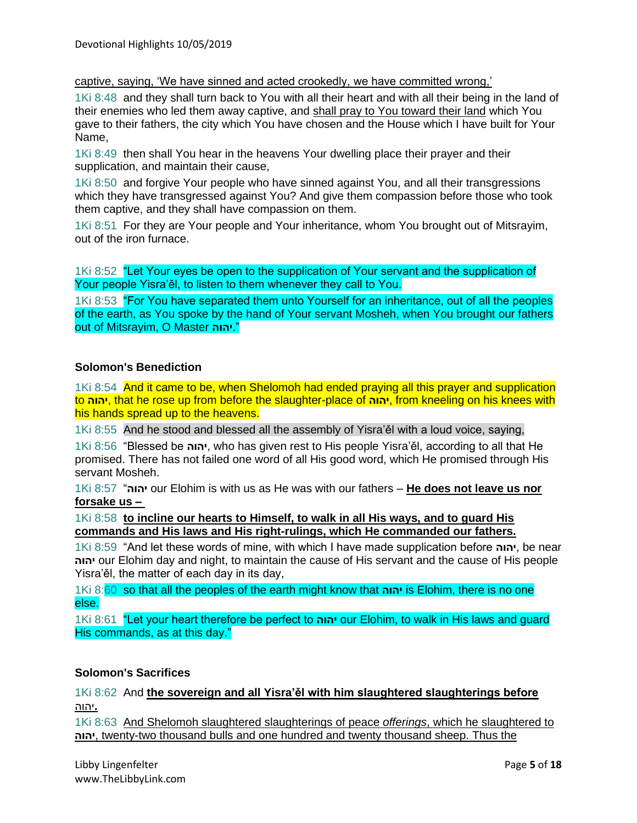captive, saying, 'We have sinned and acted crookedly, we have committed wrong,'

1Ki 8:48 and they shall turn back to You with all their heart and with all their being in the land of their enemies who led them away captive, and shall pray to You toward their land which You gave to their fathers, the city which You have chosen and the House which I have built for Your Name,

1Ki 8:49 then shall You hear in the heavens Your dwelling place their prayer and their supplication, and maintain their cause,

1Ki 8:50 and forgive Your people who have sinned against You, and all their transgressions which they have transgressed against You? And give them compassion before those who took them captive, and they shall have compassion on them.

1Ki 8:51 For they are Your people and Your inheritance, whom You brought out of Mitsrayim, out of the iron furnace.

1Ki 8:52 "Let Your eyes be open to the supplication of Your servant and the supplication of Your people Yisra'ěl, to listen to them whenever they call to You.

1Ki 8:53 "For You have separated them unto Yourself for an inheritance, out of all the peoples of the earth, as You spoke by the hand of Your servant Mosheh, when You brought our fathers out of Mitsrayim, O Master **יהוה**."

# **Solomon's Benediction**

1Ki 8:54 And it came to be, when Shelomoh had ended praying all this prayer and supplication to **יהוה**, that he rose up from before the slaughter-place of **יהוה**, from kneeling on his knees with his hands spread up to the heavens.

1Ki 8:55 And he stood and blessed all the assembly of Yisra'ěl with a loud voice, saying,

1Ki 8:56 "Blessed be **יהוה**, who has given rest to His people Yisra'ěl, according to all that He promised. There has not failed one word of all His good word, which He promised through His servant Mosheh.

1Ki 8:57 " **יהוה** our Elohim is with us as He was with our fathers – **He does not leave us nor forsake us –**

1Ki 8:58 **to incline our hearts to Himself, to walk in all His ways, and to guard His commands and His laws and His right-rulings, which He commanded our fathers.**

1Ki 8:59 "And let these words of mine, with which I have made supplication before **יהוה**, be near  **יהוה** our Elohim day and night, to maintain the cause of His servant and the cause of His people Yisra'ěl, the matter of each day in its day,

1Ki 8:60 so that all the peoples of the earth might know that **יהוה** is Elohim, there is no one else.

1Ki 8:61 "Let your heart therefore be perfect to **יהוה** our Elohim, to walk in His laws and guard His commands, as at this day."

# **Solomon's Sacrifices**

1Ki 8:62 And **the sovereign and all Yisra'ěl with him slaughtered slaughterings before .**יהוה

1Ki 8:63 And Shelomoh slaughtered slaughterings of peace *offerings*, which he slaughtered to  **יהוה**, twenty-two thousand bulls and one hundred and twenty thousand sheep. Thus the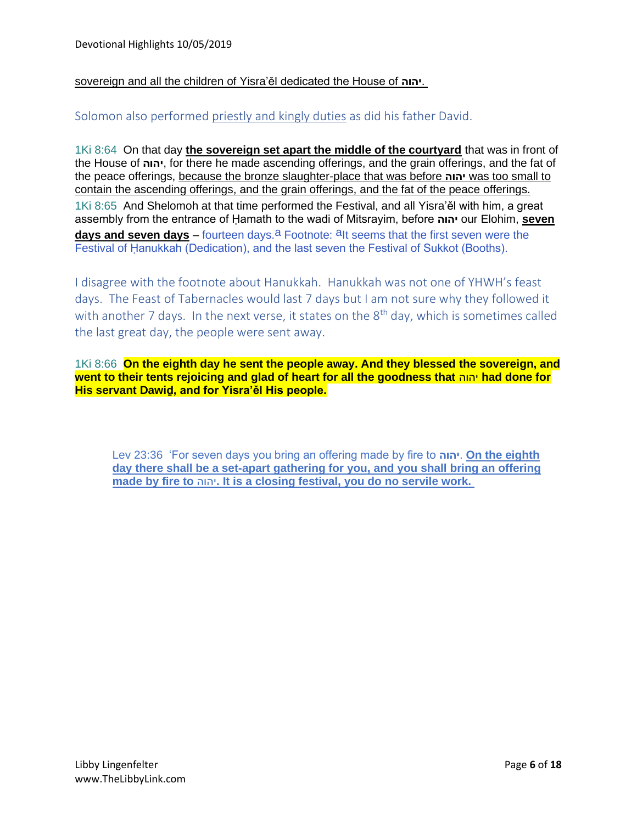# sovereign and all the children of Yisra'ěl dedicated the House of **יהוה**.

# Solomon also performed priestly and kingly duties as did his father David.

1Ki 8:64 On that day **the sovereign set apart the middle of the courtyard** that was in front of the House of **יהוה**, for there he made ascending offerings, and the grain offerings, and the fat of the peace offerings, because the bronze slaughter-place that was before **יהוה** was too small to contain the ascending offerings, and the grain offerings, and the fat of the peace offerings. 1Ki 8:65 And Shelomoh at that time performed the Festival, and all Yisra'ěl with him, a great assembly from the entrance of Ḥamath to the wadi of Mitsrayim, before **יהוה** our Elohim, **seven days and seven days** – fourteen days.<sup>a</sup> Footnote: <sup>a</sup>lt seems that the first seven were the Festival of Ḥanukkah (Dedication), and the last seven the Festival of Sukkot (Booths).

I disagree with the footnote about Hanukkah. Hanukkah was not one of YHWH's feast days. The Feast of Tabernacles would last 7 days but I am not sure why they followed it with another 7 days. In the next verse, it states on the 8<sup>th</sup> day, which is sometimes called the last great day, the people were sent away.

1Ki 8:66 **On the eighth day he sent the people away. And they blessed the sovereign, and went to their tents rejoicing and glad of heart for all the goodness that** יהוה **had done for His servant Dawiḏ, and for Yisra'ěl His people.**

Lev 23:36 'For seven days you bring an offering made by fire to **יהוה**. **On the eighth day there shall be a set-apart gathering for you, and you shall bring an offering made by fire to** יהוה**. It is a closing festival, you do no servile work.**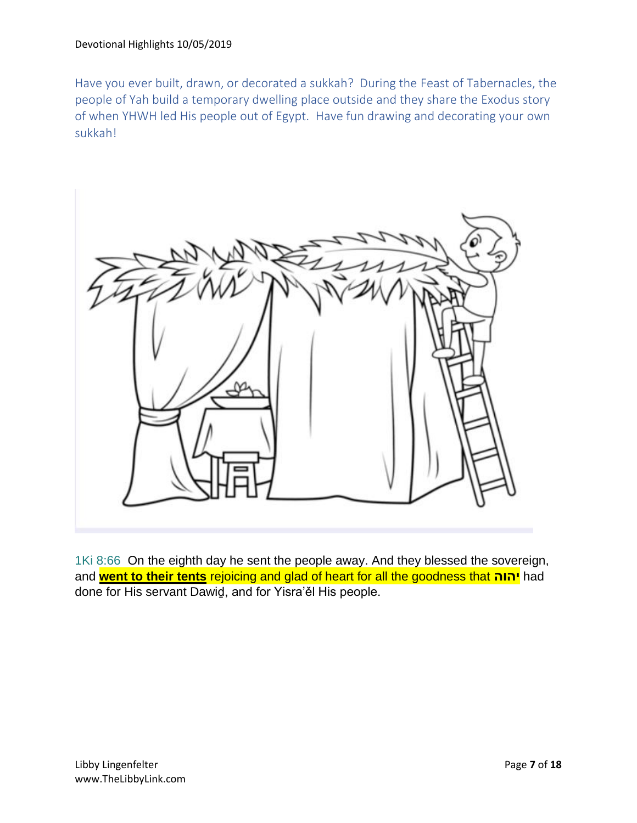Have you ever built, drawn, or decorated a sukkah? During the Feast of Tabernacles, the people of Yah build a temporary dwelling place outside and they share the Exodus story of when YHWH led His people out of Egypt. Have fun drawing and decorating your own sukkah!



1Ki 8:66 On the eighth day he sent the people away. And they blessed the sovereign, and **went to their tents** rejoicing and glad of heart for all the goodness that **יהוה** had done for His servant Dawiḏ, and for Yisra'ěl His people.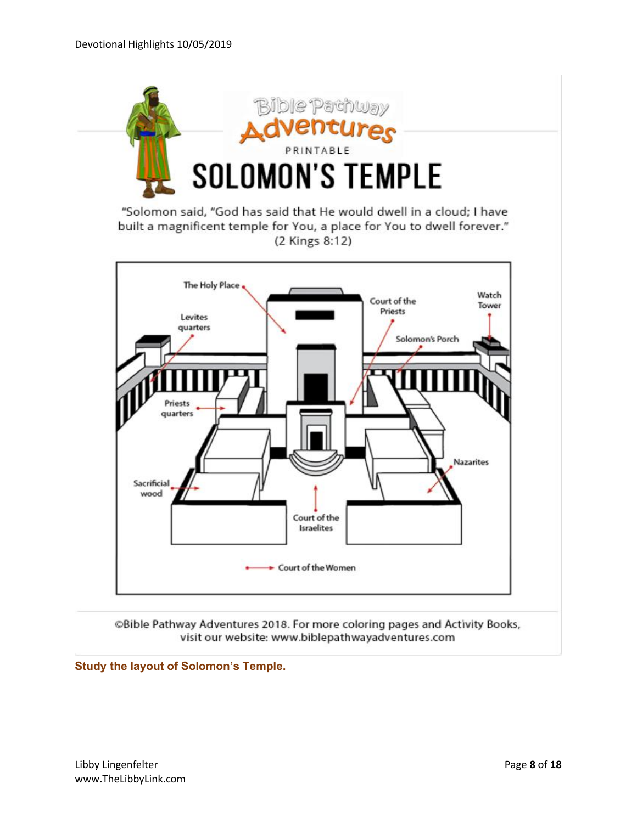

"Solomon said, "God has said that He would dwell in a cloud; I have built a magnificent temple for You, a place for You to dwell forever." (2 Kings 8:12)



©Bible Pathway Adventures 2018. For more coloring pages and Activity Books, visit our website: www.biblepathwayadventures.com

**Study the layout of Solomon's Temple.**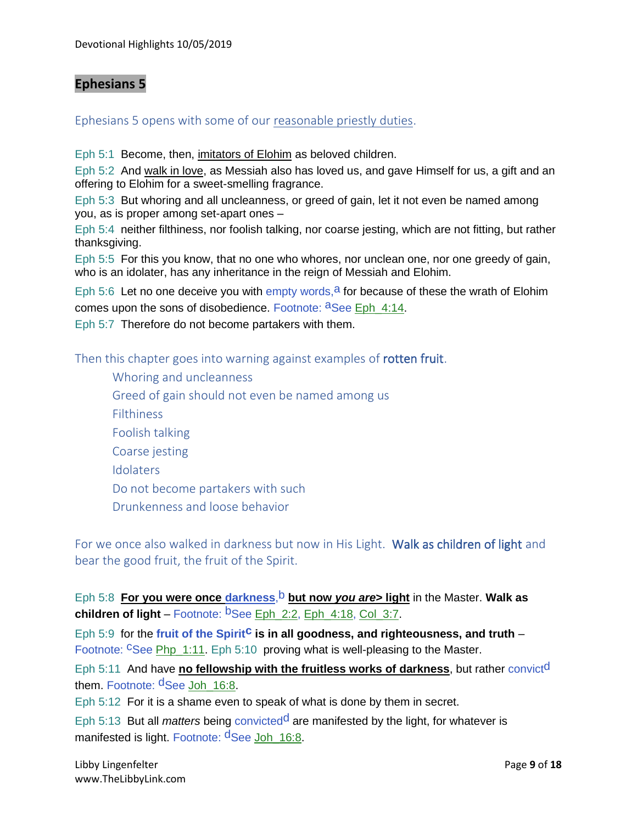# **Ephesians 5**

Ephesians 5 opens with some of our reasonable priestly duties.

Eph 5:1 Become, then, imitators of Elohim as beloved children.

Eph 5:2 And walk in love, as Messiah also has loved us, and gave Himself for us, a gift and an offering to Elohim for a sweet-smelling fragrance.

Eph 5:3 But whoring and all uncleanness, or greed of gain, let it not even be named among you, as is proper among set-apart ones –

Eph 5:4 neither filthiness, nor foolish talking, nor coarse jesting, which are not fitting, but rather thanksgiving.

Eph 5:5 For this you know, that no one who whores, nor unclean one, nor one greedy of gain, who is an idolater, has any inheritance in the reign of Messiah and Elohim.

Eph 5:6 Let no one deceive you with empty words,  $a$  for because of these the wrath of Elohim comes upon the sons of disobedience. Footnote: aSee Eph 4:14.

Eph 5:7 Therefore do not become partakers with them.

Then this chapter goes into warning against examples of **rotten fruit**.

Whoring and uncleanness Greed of gain should not even be named among us **Filthiness** Foolish talking Coarse jesting **Idolaters** Do not become partakers with such Drunkenness and loose behavior

For we once also walked in darkness but now in His Light. Walk as children of light and bear the good fruit, the fruit of the Spirit.

Eph 5:8 For you were once darkness, b but now you are> light in the Master. Walk as **children of light** – Footnote: <sup>b</sup>See Eph 2:2, Eph 4:18, Col 3:7.

Eph 5:9 for the fruit of the Spirit<sup>C</sup> is in all goodness, and righteousness, and truth – Footnote: CSee Php\_1:11. Eph 5:10 proving what is well-pleasing to the Master.

Eph 5:11 And have **no fellowship with the fruitless works of darkness**, but rather convict<sup>d</sup> them. Footnote: <sup>d</sup>See Joh\_16:8.

Eph 5:12 For it is a shame even to speak of what is done by them in secret.

Eph 5:13 But all *matters* being convictedd are manifested by the light, for whatever is manifested is light. Footnote: dSee Joh 16:8.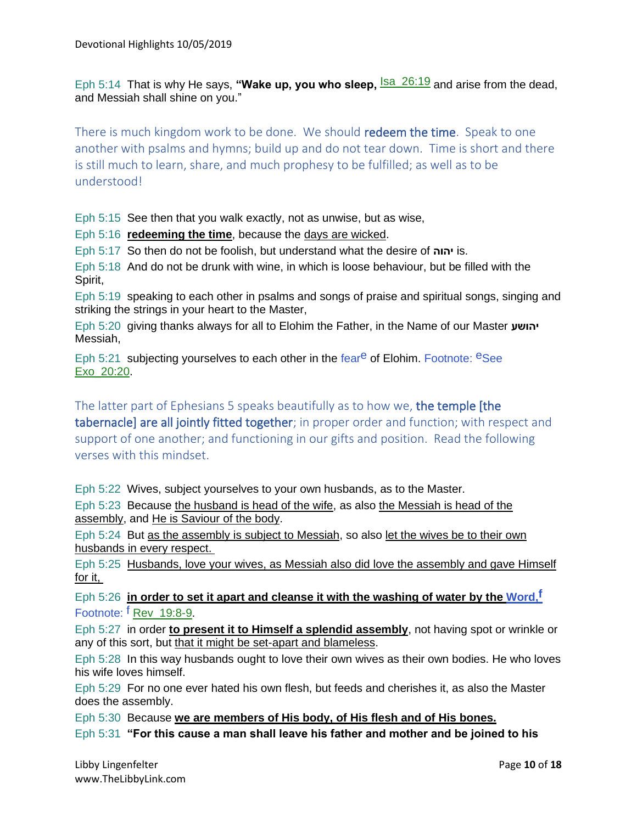Eph 5:14 That is why He says, "Wake up, you who sleep, <sup>Isa 26:19</sup> and arise from the dead, and Messiah shall shine on you."

There is much kingdom work to be done. We should redeem the time. Speak to one another with psalms and hymns; build up and do not tear down. Time is short and there is still much to learn, share, and much prophesy to be fulfilled; as well as to be understood!

Eph 5:15 See then that you walk exactly, not as unwise, but as wise,

Eph 5:16 **redeeming the time**, because the days are wicked.

Eph 5:17 So then do not be foolish, but understand what the desire of **יהוה** is.

Eph 5:18 And do not be drunk with wine, in which is loose behaviour, but be filled with the Spirit,

Eph 5:19 speaking to each other in psalms and songs of praise and spiritual songs, singing and striking the strings in your heart to the Master,

Eph 5:20 giving thanks always for all to Elohim the Father, in the Name of our Master **יהושע** Messiah,

Eph 5:21 subjecting yourselves to each other in the feare of Elohim. Footnote:  $e$ See Exo\_20:20.

The latter part of Ephesians 5 speaks beautifully as to how we, the temple [the tabernacle] are all jointly fitted together; in proper order and function; with respect and support of one another; and functioning in our gifts and position. Read the following verses with this mindset.

Eph 5:22 Wives, subject yourselves to your own husbands, as to the Master.

Eph 5:23 Because the husband is head of the wife, as also the Messiah is head of the assembly, and He is Saviour of the body.

Eph 5:24 But as the assembly is subject to Messiah, so also let the wives be to their own husbands in every respect.

Eph 5:25 Husbands, love your wives, as Messiah also did love the assembly and gave Himself for it,

Eph 5:26 **in order to set it apart and cleanse it with the washing of water by the Word,f** Footnote: <sup>f</sup> Rev 19:8-9.

Eph 5:27 in order **to present it to Himself a splendid assembly**, not having spot or wrinkle or any of this sort, but that it might be set-apart and blameless.

Eph 5:28 In this way husbands ought to love their own wives as their own bodies. He who loves his wife loves himself.

Eph 5:29 For no one ever hated his own flesh, but feeds and cherishes it, as also the Master does the assembly.

Eph 5:30 Because **we are members of His body, of His flesh and of His bones.**

Eph 5:31 **"For this cause a man shall leave his father and mother and be joined to his**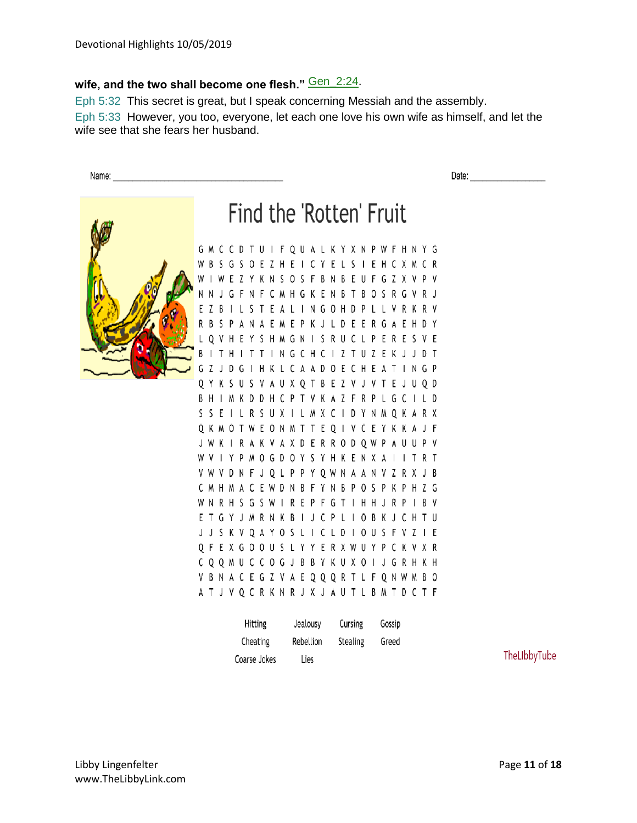# wife, and the two shall become one flesh." **Gen\_2:24**.

Eph 5:32 This secret is great, but I speak concerning Messiah and the assembly.

Eph 5:33 However, you too, everyone, let each one love his own wife as himself, and let the wife see that she fears her husband.

Name:

Date:



# Find the 'Rotten' Fruit

G M C C D T U I F Q U A L K Y X N P W F H N Y G W B S G S O E Z H E I C Y E L S I E H C X M C R W I W E Z Y K N S O S F B N B E U F G Z X V P V N N J G F N F C M H G K E N B T B O S R G V R J E Z B I L S T E A L I N G O H D P L L V R K R V R B S P A N A E M E P K J L D E E R G A E H D Y L Q V H E Y S H M G N I S R U C L P E R E S V E B I T H I T T I N G C H C I Z T U Z E K J J D T G Z J D G I H K L C A A D O E C H E A T I N G P Q Y K S U S V A U X Q T B E Z V J V T E J U Q D B H I M K D D H C P T V K A Z F R P L G C I L D S S E I L R S U X I L M X C I D Y N M Q K A R X Q K M O T W E O N M T T E Q I V C E Y K K A J F J W K I R A K V A X D E R R O D Q W P A U U P V W V I Y P M O G D O Y S Y H K E N X A I I T R T V W V D N F J Q L P P Y Q W N A A N V Z R X J B C M H M A C E W D N B F Y N B P O S P K P H Z G W N R H S G S W I R E P F G T I H H J R P I B V E T G Y J M R N K B I J C P L I O B K J C H T U J J S K V Q A Y O S L I C L D I O U S F V Z I E Q F E X G O O U S L Y Y E R X W U Y P C K V X R C Q Q M U C C O G J B B Y K U X O I J G R H K H V B N A C E G Z V A E Q Q Q R T L F Q N W M B O A T J V Q C R K N R J X J A U T L B M T D C T F

| <b>Hitting</b> | Jealousy  | Cursing  | Gossip |
|----------------|-----------|----------|--------|
| Cheating       | Rebellion | Stealing | Greed  |
| Coarse Jokes   | Lies      |          |        |

TheLIbbyTube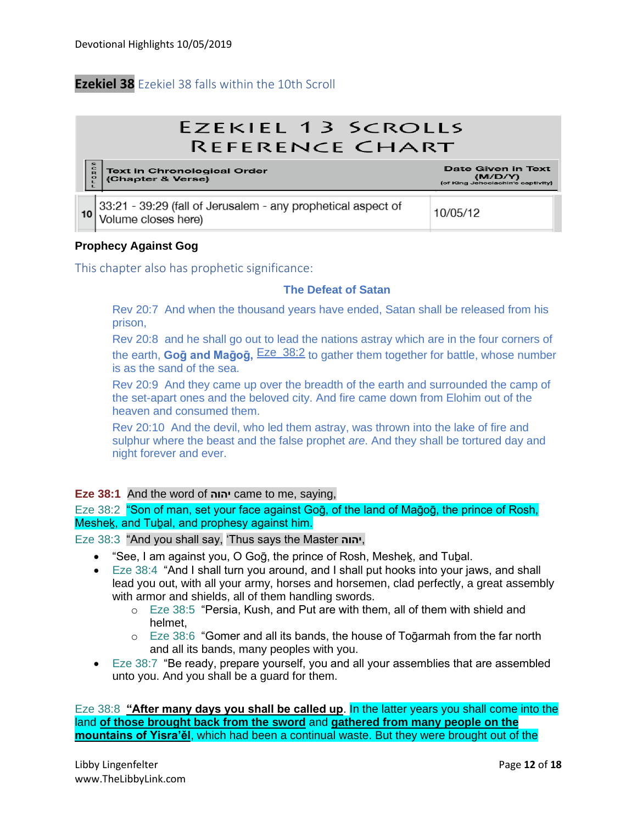# **Ezekiel 38** Ezekiel 38 falls within the 10th Scroll

# **EZEKIEL 13 SCROLLS** REFERENCE CHART Text in Chronological Order<br>(Chapter & Verse) Date Given in Text (M/D/Y) 33:21 - 39:29 (fall of Jerusalem - any prophetical aspect of 10/05/12 10 Volume closes here)

# **Prophecy Against Gog**

This chapter also has prophetic significance:

#### **The Defeat of Satan**

Rev 20:7 And when the thousand years have ended, Satan shall be released from his prison,

Rev 20:8 and he shall go out to lead the nations astray which are in the four corners of the earth, **Goḡ and Maḡoḡ,** Eze\_38:2 to gather them together for battle, whose number is as the sand of the sea.

Rev 20:9 And they came up over the breadth of the earth and surrounded the camp of the set-apart ones and the beloved city. And fire came down from Elohim out of the heaven and consumed them.

Rev 20:10 And the devil, who led them astray, was thrown into the lake of fire and sulphur where the beast and the false prophet *are*. And they shall be tortured day and night forever and ever.

#### **Eze 38:1** And the word of **יהוה** came to me, saying,

Eze 38:2 "Son of man, set your face against Gog, of the land of Magog, the prince of Rosh, Meshek, and Tubal, and prophesy against him.

Eze 38:3 "And you shall say, 'Thus says the Master **יהוה**,

- "See, I am against you, O Goq, the prince of Rosh, Meshek, and Tubal.
- Eze 38:4 "And I shall turn you around, and I shall put hooks into your jaws, and shall lead you out, with all your army, horses and horsemen, clad perfectly, a great assembly with armor and shields, all of them handling swords.
	- o Eze 38:5 "Persia, Kush, and Put are with them, all of them with shield and helmet,
	- $\circ$  Eze 38:6 "Gomer and all its bands, the house of To $q$ armah from the far north and all its bands, many peoples with you.
- Eze 38:7 "Be ready, prepare yourself, you and all your assemblies that are assembled unto you. And you shall be a guard for them.

Eze 38:8 **"After many days you shall be called up**. In the latter years you shall come into the land **of those brought back from the sword** and **gathered from many people on the mountains of Yisra'ěl**, which had been a continual waste. But they were brought out of the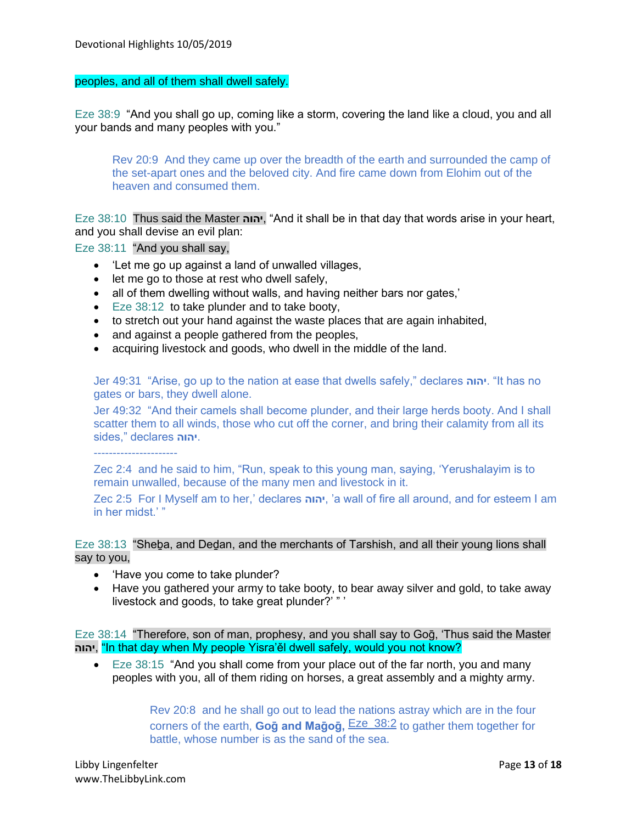# peoples, and all of them shall dwell safely.

Eze 38:9 "And you shall go up, coming like a storm, covering the land like a cloud, you and all your bands and many peoples with you."

Rev 20:9 And they came up over the breadth of the earth and surrounded the camp of the set-apart ones and the beloved city. And fire came down from Elohim out of the heaven and consumed them.

Eze 38:10 Thus said the Master **יהוה**," And it shall be in that day that words arise in your heart, and you shall devise an evil plan:

Eze 38:11 "And you shall say,

- 'Let me go up against a land of unwalled villages,
- let me go to those at rest who dwell safely,
- all of them dwelling without walls, and having neither bars nor gates,'
- Eze 38:12 to take plunder and to take booty,
- to stretch out your hand against the waste places that are again inhabited,
- and against a people gathered from the peoples,
- acquiring livestock and goods, who dwell in the middle of the land.

Jer 49:31 "Arise, go up to the nation at ease that dwells safely," declares **יהוה**." It has no gates or bars, they dwell alone.

Jer 49:32 "And their camels shall become plunder, and their large herds booty. And I shall scatter them to all winds, those who cut off the corner, and bring their calamity from all its sides," declares **יהוה**.

----------------------

Zec 2:4 and he said to him, "Run, speak to this young man, saying, 'Yerushalayim is to remain unwalled, because of the many men and livestock in it.

Zec 2:5 For I Myself am to her,' declares **יהוה**,' a wall of fire all around, and for esteem I am in her midst.' "

# Eze 38:13 "Sheḇa, and Deḏan, and the merchants of Tarshish, and all their young lions shall say to you,

- 'Have you come to take plunder?
- Have you gathered your army to take booty, to bear away silver and gold, to take away livestock and goods, to take great plunder?' " '

Eze 38:14 "Therefore, son of man, prophesy, and you shall say to Goḡ, 'Thus said the Master  **יהוה**," In that day when My people Yisra'ěl dwell safely, would you not know?

• Eze 38:15 "And you shall come from your place out of the far north, you and many peoples with you, all of them riding on horses, a great assembly and a mighty army.

> Rev 20:8 and he shall go out to lead the nations astray which are in the four corners of the earth, **Goḡ and Maḡoḡ,** Eze\_38:2 to gather them together for battle, whose number is as the sand of the sea.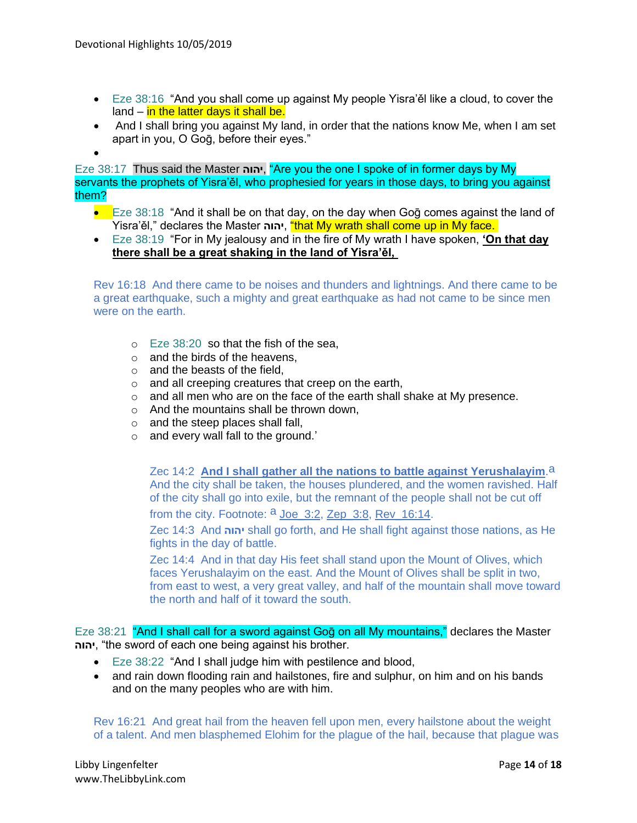- Eze 38:16 "And you shall come up against My people Yisra'ěl like a cloud, to cover the land  $-$  in the latter days it shall be.
- And I shall bring you against My land, in order that the nations know Me, when I am set apart in you, O Goḡ, before their eyes."
- •

Eze 38:17 Thus said the Master **יהוה**," Are you the one I spoke of in former days by My servants the prophets of Yisra'ěl, who prophesied for years in those days, to bring you against them?

- $\bullet$  Eze 38:18 "And it shall be on that day, on the day when Gog comes against the land of Yisra'ěl," declares the Master **יהוה**," that My wrath shall come up in My face.
- Eze 38:19 "For in My jealousy and in the fire of My wrath I have spoken, **'On that day there shall be a great shaking in the land of Yisra'ěl,**

Rev 16:18 And there came to be noises and thunders and lightnings. And there came to be a great earthquake, such a mighty and great earthquake as had not came to be since men were on the earth.

- o Eze 38:20 so that the fish of the sea,
- $\circ$  and the birds of the heavens.
- $\circ$  and the beasts of the field,
- o and all creeping creatures that creep on the earth,
- o and all men who are on the face of the earth shall shake at My presence.
- o And the mountains shall be thrown down,
- o and the steep places shall fall,
- o and every wall fall to the ground.'

Zec 14:2 **And I shall gather all the nations to battle against Yerushalayim**.a And the city shall be taken, the houses plundered, and the women ravished. Half of the city shall go into exile, but the remnant of the people shall not be cut off

from the city. Footnote: <sup>a</sup> Joe\_3:2, Zep\_3:8, Rev\_16:14.

Zec 14:3 And **יהוה** shall go forth, and He shall fight against those nations, as He fights in the day of battle.

Zec 14:4 And in that day His feet shall stand upon the Mount of Olives, which faces Yerushalayim on the east. And the Mount of Olives shall be split in two, from east to west, a very great valley, and half of the mountain shall move toward the north and half of it toward the south.

Eze 38:21 "And I shall call for a sword against Gog on all My mountains," declares the Master  **יהוה**," the sword of each one being against his brother.

- Eze 38:22 "And I shall judge him with pestilence and blood,
- and rain down flooding rain and hailstones, fire and sulphur, on him and on his bands and on the many peoples who are with him.

Rev 16:21 And great hail from the heaven fell upon men, every hailstone about the weight of a talent. And men blasphemed Elohim for the plague of the hail, because that plague was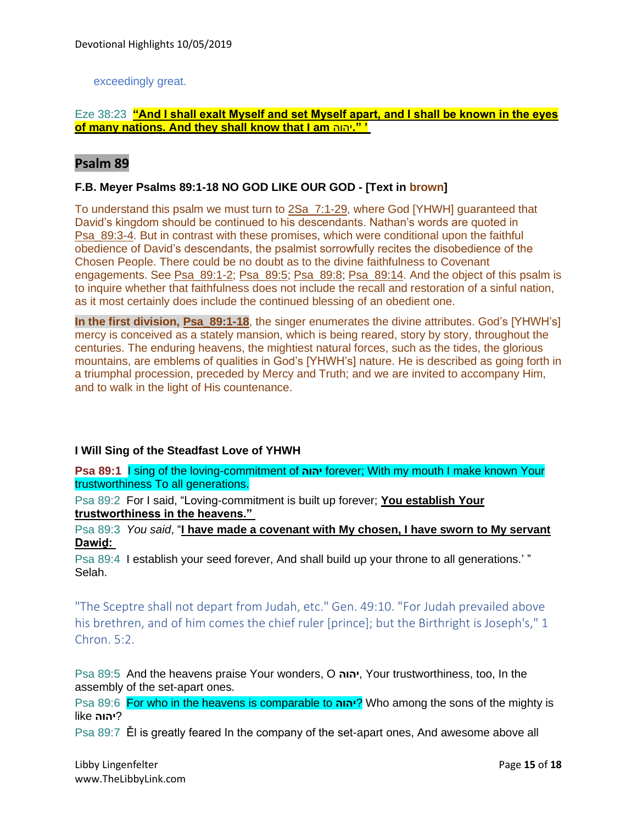# exceedingly great.

# Eze 38:23 **"And I shall exalt Myself and set Myself apart, and I shall be known in the eyes of many nations. And they shall know that I am** יהוה**.' "**

# **Psalm 89**

#### **F.B. Meyer Psalms 89:1-18 NO GOD LIKE OUR GOD - [Text in brown]**

To understand this psalm we must turn to 2Sa\_7:1-29, where God [YHWH] guaranteed that David's kingdom should be continued to his descendants. Nathan's words are quoted in Psa\_89:3-4. But in contrast with these promises, which were conditional upon the faithful obedience of David's descendants, the psalmist sorrowfully recites the disobedience of the Chosen People. There could be no doubt as to the divine faithfulness to Covenant engagements. See Psa\_89:1-2; Psa\_89:5; Psa\_89:8; Psa\_89:14. And the object of this psalm is to inquire whether that faithfulness does not include the recall and restoration of a sinful nation, as it most certainly does include the continued blessing of an obedient one.

**In the first division, Psa\_89:1-18**, the singer enumerates the divine attributes. God's [YHWH's] mercy is conceived as a stately mansion, which is being reared, story by story, throughout the centuries. The enduring heavens, the mightiest natural forces, such as the tides, the glorious mountains, are emblems of qualities in God's [YHWH's] nature. He is described as going forth in a triumphal procession, preceded by Mercy and Truth; and we are invited to accompany Him, and to walk in the light of His countenance.

#### **I Will Sing of the Steadfast Love of YHWH**

**Psa 89:1** I sing of the loving-commitment of **יהוה** forever; With my mouth I make known Your trustworthiness To all generations.

Psa 89:2 For I said, "Loving-commitment is built up forever; **You establish Your trustworthiness in the heavens."**

Psa 89:3 *You said*, "**I have made a covenant with My chosen, I have sworn to My servant Dawiḏ:**

Psa 89:4 I establish your seed forever, And shall build up your throne to all generations.' " Selah.

"The Sceptre shall not depart from Judah, etc." Gen. 49:10. "For Judah prevailed above his brethren, and of him comes the chief ruler [prince]; but the Birthright is Joseph's," 1 Chron. 5:2.

Psa 89:5 And the heavens praise Your wonders, O **יהוה**, Your trustworthiness, too, In the assembly of the set-apart ones.

Psa 89:6 For who in the heavens is comparable to **יהוה** ?Who among the sons of the mighty is ?**יהוה** like

Psa 89:7 Ěl is greatly feared In the company of the set-apart ones, And awesome above all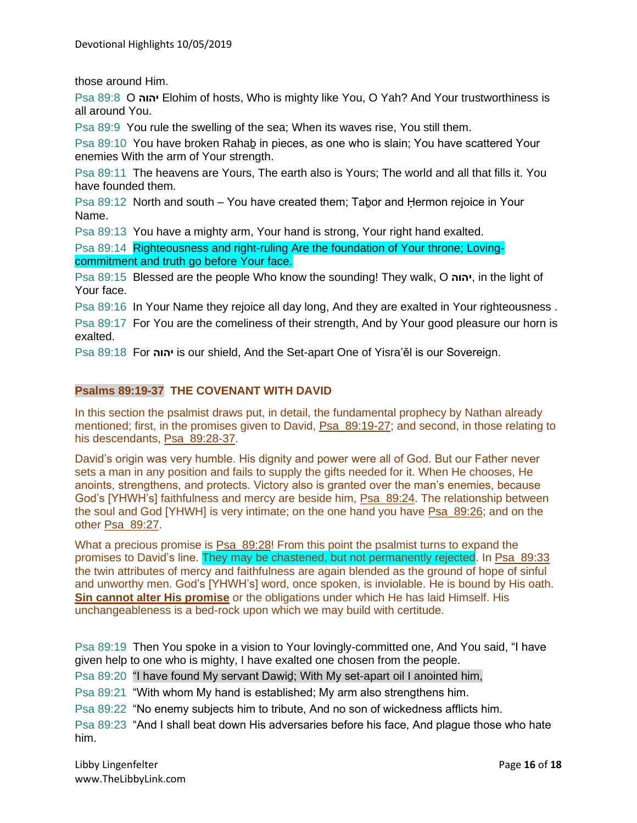those around Him.

Psa 89:8 O **יהוה** Elohim of hosts, Who is mighty like You, O Yah? And Your trustworthiness is all around You.

Psa 89:9 You rule the swelling of the sea; When its waves rise, You still them.

Psa 89:10 You have broken Rahab in pieces, as one who is slain; You have scattered Your enemies With the arm of Your strength.

Psa 89:11 The heavens are Yours, The earth also is Yours; The world and all that fills it. You have founded them.

Psa 89:12 North and south – You have created them; Taḇor and Ḥermon rejoice in Your Name.

Psa 89:13 You have a mighty arm, Your hand is strong, Your right hand exalted.

Psa 89:14 Righteousness and right-ruling Are the foundation of Your throne; Lovingcommitment and truth go before Your face.

Psa 89:15 Blessed are the people Who know the sounding! They walk, O **יהוה**, in the light of Your face.

Psa 89:16 In Your Name they rejoice all day long, And they are exalted in Your righteousness .

Psa 89:17 For You are the comeliness of their strength, And by Your good pleasure our horn is exalted.

Psa 89:18 For **יהוה** is our shield, And the Set-apart One of Yisra'ěl is our Sovereign.

# **Psalms 89:19-37 THE COVENANT WITH DAVID**

In this section the psalmist draws put, in detail, the fundamental prophecy by Nathan already mentioned; first, in the promises given to David, Psa\_89:19-27; and second, in those relating to his descendants, Psa 89:28-37.

David's origin was very humble. His dignity and power were all of God. But our Father never sets a man in any position and fails to supply the gifts needed for it. When He chooses, He anoints, strengthens, and protects. Victory also is granted over the man's enemies, because God's [YHWH's] faithfulness and mercy are beside him, Psa\_89:24. The relationship between the soul and God [YHWH] is very intimate; on the one hand you have Psa\_89:26; and on the other Psa\_89:27.

What a precious promise is Psa  $89:28$ ! From this point the psalmist turns to expand the promises to David's line. They may be chastened, but not permanently rejected. In Psa\_89:33 the twin attributes of mercy and faithfulness are again blended as the ground of hope of sinful and unworthy men. God's [YHWH's] word, once spoken, is inviolable. He is bound by His oath. **Sin cannot alter His promise** or the obligations under which He has laid Himself. His unchangeableness is a bed-rock upon which we may build with certitude.

Psa 89:19 Then You spoke in a vision to Your lovingly-committed one, And You said, "I have given help to one who is mighty, I have exalted one chosen from the people.

Psa 89:20 "I have found My servant Dawiḏ; With My set-apart oil I anointed him,

Psa 89:21 "With whom My hand is established; My arm also strengthens him.

Psa 89:22 "No enemy subjects him to tribute, And no son of wickedness afflicts him.

Psa 89:23 "And I shall beat down His adversaries before his face, And plague those who hate him.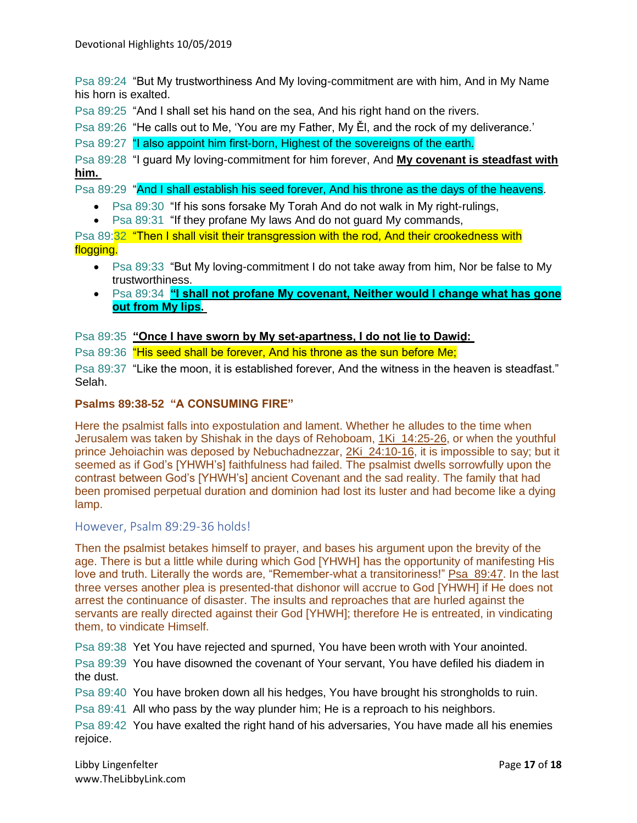Psa 89:24 "But My trustworthiness And My loving-commitment are with him, And in My Name his horn is exalted.

Psa 89:25 "And I shall set his hand on the sea, And his right hand on the rivers.

Psa 89:26 "He calls out to Me, 'You are my Father, My Ěl, and the rock of my deliverance.'

Psa 89:27 "I also appoint him first-born, Highest of the sovereigns of the earth.

Psa 89:28 "I guard My loving-commitment for him forever, And **My covenant is steadfast with him.**

Psa 89:29 "And I shall establish his seed forever, And his throne as the days of the heavens.

- Psa 89:30 "If his sons forsake My Torah And do not walk in My right-rulings,
- Psa 89:31 "If they profane My laws And do not guard My commands,

Psa 89:32 "Then I shall visit their transgression with the rod. And their crookedness with flogging.

- Psa 89:33 "But My loving-commitment I do not take away from him, Nor be false to My trustworthiness.
- Psa 89:34 **"I shall not profane My covenant, Neither would I change what has gone out from My lips.**

Psa 89:35 **"Once I have sworn by My set-apartness, I do not lie to Dawiḏ:**

Psa 89:36 "His seed shall be forever, And his throne as the sun before Me;

Psa 89:37 "Like the moon, it is established forever, And the witness in the heaven is steadfast." Selah.

# **Psalms 89:38-52 "A CONSUMING FIRE"**

Here the psalmist falls into expostulation and lament. Whether he alludes to the time when Jerusalem was taken by Shishak in the days of Rehoboam, 1Ki\_14:25-26, or when the youthful prince Jehoiachin was deposed by Nebuchadnezzar, 2Ki\_24:10-16, it is impossible to say; but it seemed as if God's [YHWH's] faithfulness had failed. The psalmist dwells sorrowfully upon the contrast between God's [YHWH's] ancient Covenant and the sad reality. The family that had been promised perpetual duration and dominion had lost its luster and had become like a dying lamp.

#### However, Psalm 89:29-36 holds!

Then the psalmist betakes himself to prayer, and bases his argument upon the brevity of the age. There is but a little while during which God [YHWH] has the opportunity of manifesting His love and truth. Literally the words are, "Remember-what a transitoriness!" Psa\_89:47. In the last three verses another plea is presented-that dishonor will accrue to God [YHWH] if He does not arrest the continuance of disaster. The insults and reproaches that are hurled against the servants are really directed against their God [YHWH]; therefore He is entreated, in vindicating them, to vindicate Himself.

Psa 89:38 Yet You have rejected and spurned, You have been wroth with Your anointed.

Psa 89:39 You have disowned the covenant of Your servant, You have defiled his diadem in the dust.

Psa 89:40 You have broken down all his hedges, You have brought his strongholds to ruin.

Psa 89:41 All who pass by the way plunder him; He is a reproach to his neighbors.

Psa 89:42 You have exalted the right hand of his adversaries, You have made all his enemies rejoice.